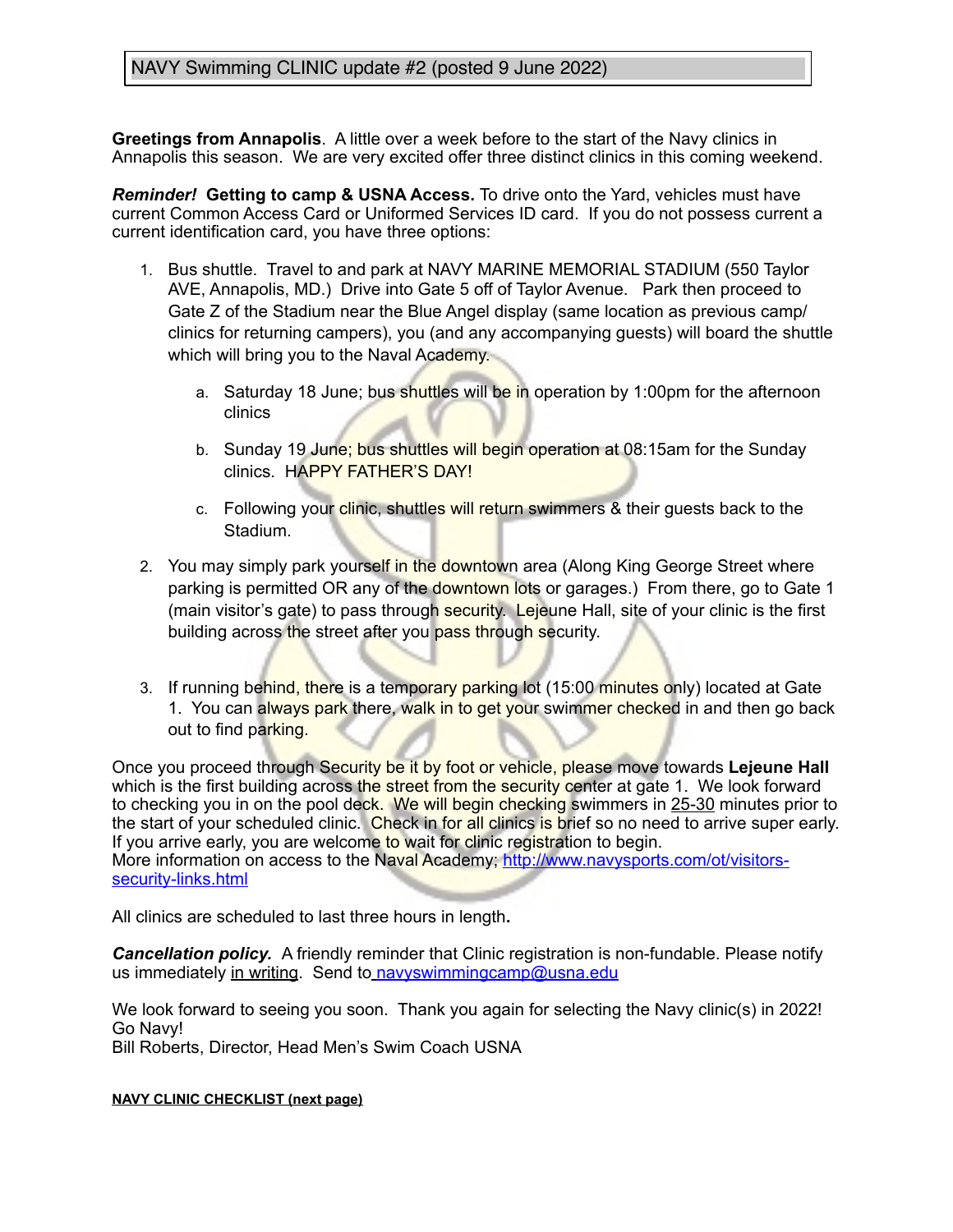## NAVY Swimming CLINIC update #2 (posted 9 June 2022)

**Greetings from Annapolis**. A little over a week before to the start of the Navy clinics in Annapolis this season. We are very excited offer three distinct clinics in this coming weekend.

*Reminder!* **Getting to camp & USNA Access.** To drive onto the Yard, vehicles must have current Common Access Card or Uniformed Services ID card. If you do not possess current a current identification card, you have three options:

- 1. Bus shuttle. Travel to and park at NAVY MARINE MEMORIAL STADIUM (550 Taylor AVE, Annapolis, MD.) Drive into Gate 5 off of Taylor Avenue. Park then proceed to Gate Z of the Stadium near the Blue Angel display (same location as previous camp/ clinics for returning campers), you (and any accompanying guests) will board the shuttle which will bring you to the Naval Academy.
	- a. Saturday 18 June; bus shuttles will be in operation by 1:00pm for the afternoon clinics
	- b. Sunday 19 June; bus shuttles will begin operation at 08:15am for the Sunday clinics. HAPPY FATHER'S DAY!
	- c. Following your clinic, shuttles will return swimmers & their guests back to the Stadium.
- 2. You may simply park yourself in the downtown area (Along King George Street where parking is permitted OR any of the downtown lots or garages.) From there, go to Gate 1 (main visitor's gate) to pass through security. Lejeune Hall, site of your clinic is the first building across the street after you pass through security.
- 3. If running behind, there is a temporary parking lot (15:00 minutes only) located at Gate 1. You can always park there, walk in to get your swimmer checked in and then go back out to find parking.

Once you proceed through Security be it by foot or vehicle, please move towards **Lejeune Hall** which is the first building across the street from the security center at gate 1. We look forward to checking you in on the pool deck. We will begin checking swimmers in 25-30 minutes prior to the start of your scheduled clinic. Check in for all clinics is brief so no need to arrive super early. If you arrive early, you are welcome to wait for clinic registration to begin. More information on access to the Naval Academy; [http://www.navysports.com/ot/visitors](http://www.navysports.com/ot/visitors-security-links.html)[security-links.html](http://www.navysports.com/ot/visitors-security-links.html)

All clinics are scheduled to last three hours in length**.** 

*Cancellation policy.*A friendly reminder that Clinic registration is non-fundable. Please notify us immediately in writing. Send to [navyswimmingcamp@usna.edu](mailto:navyswimmingcamp@usna.edu)

We look forward to seeing you soon. Thank you again for selecting the Navy clinic(s) in 2022! Go Navy! Bill Roberts, Director, Head Men's Swim Coach USNA

**NAVY CLINIC CHECKLIST (next page)**